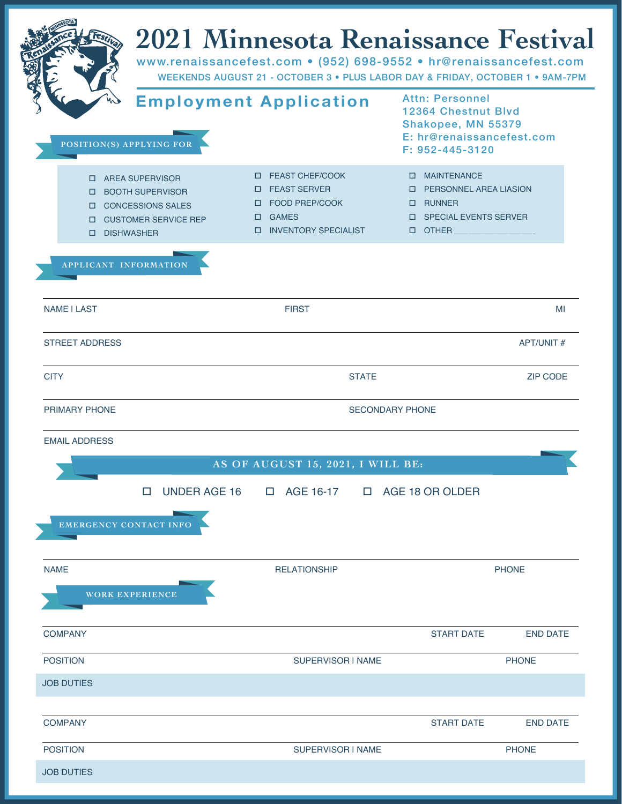